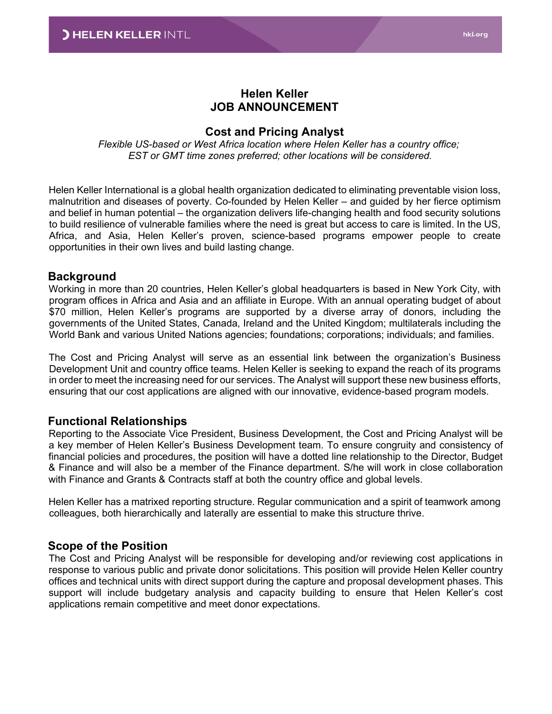### **Helen Keller JOB ANNOUNCEMENT**

#### **Cost and Pricing Analyst**

*Flexible US-based or West Africa location where Helen Keller has a country office; EST or GMT time zones preferred; other locations will be considered.*

Helen Keller International is a global health organization dedicated to eliminating preventable vision loss, malnutrition and diseases of poverty. Co-founded by Helen Keller – and guided by her fierce optimism and belief in human potential – the organization delivers life-changing health and food security solutions to build resilience of vulnerable families where the need is great but access to care is limited. In the US, Africa, and Asia, Helen Keller's proven, science-based programs empower people to create opportunities in their own lives and build lasting change.

#### **Background**

Working in more than 20 countries, Helen Keller's global headquarters is based in New York City, with program offices in Africa and Asia and an affiliate in Europe. With an annual operating budget of about \$70 million, Helen Keller's programs are supported by a diverse array of donors, including the governments of the United States, Canada, Ireland and the United Kingdom; multilaterals including the World Bank and various United Nations agencies; foundations; corporations; individuals; and families.

The Cost and Pricing Analyst will serve as an essential link between the organization's Business Development Unit and country office teams. Helen Keller is seeking to expand the reach of its programs in order to meet the increasing need for our services. The Analyst will support these new business efforts, ensuring that our cost applications are aligned with our innovative, evidence-based program models.

#### **Functional Relationships**

Reporting to the Associate Vice President, Business Development, the Cost and Pricing Analyst will be a key member of Helen Keller's Business Development team. To ensure congruity and consistency of financial policies and procedures, the position will have a dotted line relationship to the Director, Budget & Finance and will also be a member of the Finance department. S/he will work in close collaboration with Finance and Grants & Contracts staff at both the country office and global levels.

Helen Keller has a matrixed reporting structure. Regular communication and a spirit of teamwork among colleagues, both hierarchically and laterally are essential to make this structure thrive.

#### **Scope of the Position**

The Cost and Pricing Analyst will be responsible for developing and/or reviewing cost applications in response to various public and private donor solicitations. This position will provide Helen Keller country offices and technical units with direct support during the capture and proposal development phases. This support will include budgetary analysis and capacity building to ensure that Helen Keller's cost applications remain competitive and meet donor expectations.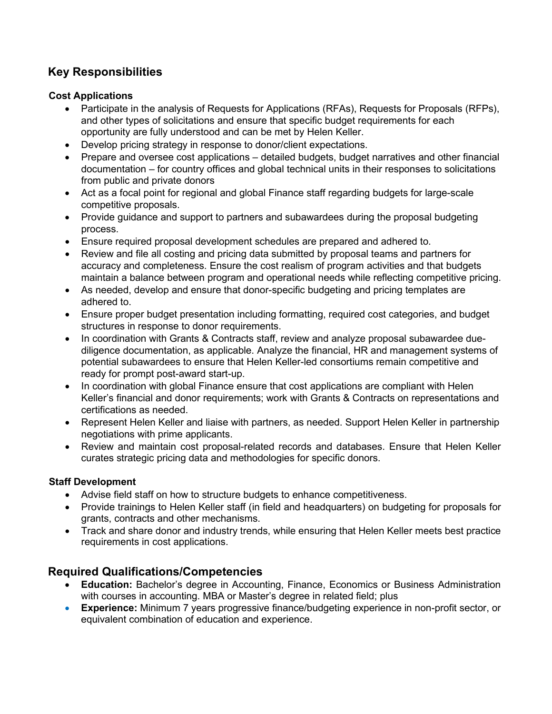# **Key Responsibilities**

### **Cost Applications**

- Participate in the analysis of Requests for Applications (RFAs), Requests for Proposals (RFPs), and other types of solicitations and ensure that specific budget requirements for each opportunity are fully understood and can be met by Helen Keller.
- Develop pricing strategy in response to donor/client expectations.
- Prepare and oversee cost applications detailed budgets, budget narratives and other financial documentation – for country offices and global technical units in their responses to solicitations from public and private donors
- Act as a focal point for regional and global Finance staff regarding budgets for large-scale competitive proposals.
- Provide guidance and support to partners and subawardees during the proposal budgeting process.
- Ensure required proposal development schedules are prepared and adhered to.
- Review and file all costing and pricing data submitted by proposal teams and partners for accuracy and completeness. Ensure the cost realism of program activities and that budgets maintain a balance between program and operational needs while reflecting competitive pricing.
- As needed, develop and ensure that donor-specific budgeting and pricing templates are adhered to.
- Ensure proper budget presentation including formatting, required cost categories, and budget structures in response to donor requirements.
- In coordination with Grants & Contracts staff, review and analyze proposal subawardee duediligence documentation, as applicable. Analyze the financial, HR and management systems of potential subawardees to ensure that Helen Keller-led consortiums remain competitive and ready for prompt post-award start-up.
- In coordination with global Finance ensure that cost applications are compliant with Helen Keller's financial and donor requirements; work with Grants & Contracts on representations and certifications as needed.
- Represent Helen Keller and liaise with partners, as needed. Support Helen Keller in partnership negotiations with prime applicants.
- Review and maintain cost proposal-related records and databases. Ensure that Helen Keller curates strategic pricing data and methodologies for specific donors.

## **Staff Development**

- Advise field staff on how to structure budgets to enhance competitiveness.
- Provide trainings to Helen Keller staff (in field and headquarters) on budgeting for proposals for grants, contracts and other mechanisms.
- Track and share donor and industry trends, while ensuring that Helen Keller meets best practice requirements in cost applications.

# **Required Qualifications/Competencies**

- **Education:** Bachelor's degree in Accounting, Finance, Economics or Business Administration with courses in accounting. MBA or Master's degree in related field; plus
- **Experience:** Minimum 7 years progressive finance/budgeting experience in non-profit sector, or equivalent combination of education and experience.